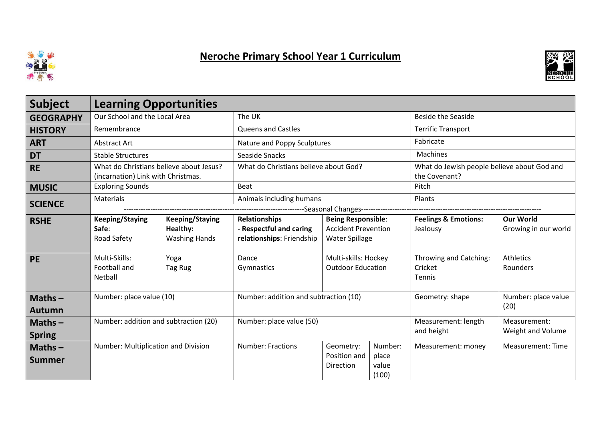

## Neroche Primary School Year 1 Curriculum



| <b>Subject</b>             | <b>Learning Opportunities</b>                                                 |                                                            |                                                                              |                                                                           |                                    |                                                              |                                          |  |  |  |
|----------------------------|-------------------------------------------------------------------------------|------------------------------------------------------------|------------------------------------------------------------------------------|---------------------------------------------------------------------------|------------------------------------|--------------------------------------------------------------|------------------------------------------|--|--|--|
| <b>GEOGRAPHY</b>           | Our School and the Local Area                                                 |                                                            | The UK                                                                       |                                                                           |                                    | <b>Beside the Seaside</b>                                    |                                          |  |  |  |
| <b>HISTORY</b>             | Remembrance                                                                   |                                                            | <b>Queens and Castles</b>                                                    |                                                                           |                                    | <b>Terrific Transport</b>                                    |                                          |  |  |  |
| <b>ART</b>                 | Abstract Art                                                                  |                                                            | Nature and Poppy Sculptures                                                  |                                                                           |                                    | Fabricate                                                    |                                          |  |  |  |
| <b>DT</b>                  | <b>Stable Structures</b>                                                      |                                                            | Seaside Snacks                                                               |                                                                           |                                    | Machines                                                     |                                          |  |  |  |
| <b>RE</b>                  | What do Christians believe about Jesus?<br>(incarnation) Link with Christmas. |                                                            | What do Christians believe about God?                                        |                                                                           |                                    | What do Jewish people believe about God and<br>the Covenant? |                                          |  |  |  |
| <b>MUSIC</b>               | <b>Exploring Sounds</b>                                                       |                                                            | Beat                                                                         |                                                                           |                                    | Pitch                                                        |                                          |  |  |  |
| <b>SCIENCE</b>             | Materials                                                                     |                                                            | Animals including humans                                                     |                                                                           |                                    | Plants                                                       |                                          |  |  |  |
|                            | ---------------------Seasonal Changes--                                       |                                                            |                                                                              |                                                                           |                                    |                                                              |                                          |  |  |  |
| <b>RSHE</b>                | <b>Keeping/Staying</b><br>Safe:<br>Road Safety                                | <b>Keeping/Staying</b><br>Healthy:<br><b>Washing Hands</b> | <b>Relationships</b><br>- Respectful and caring<br>relationships: Friendship | <b>Being Responsible:</b><br><b>Accident Prevention</b><br>Water Spillage |                                    | <b>Feelings &amp; Emotions:</b><br>Jealousy                  | <b>Our World</b><br>Growing in our world |  |  |  |
| <b>PE</b>                  | Multi-Skills:<br>Football and<br>Netball                                      | Yoga<br>Tag Rug                                            | Dance<br>Gymnastics                                                          | Multi-skills: Hockey<br><b>Outdoor Education</b>                          |                                    | Throwing and Catching:<br>Cricket<br>Tennis                  | <b>Athletics</b><br>Rounders             |  |  |  |
| $Maths -$<br><b>Autumn</b> | Number: place value (10)                                                      |                                                            | Number: addition and subtraction (10)                                        |                                                                           |                                    | Geometry: shape                                              | Number: place value<br>(20)              |  |  |  |
| $Maths -$<br><b>Spring</b> | Number: addition and subtraction (20)                                         |                                                            | Number: place value (50)                                                     |                                                                           |                                    | Measurement: length<br>and height                            | Measurement:<br>Weight and Volume        |  |  |  |
| $Maths -$<br><b>Summer</b> | Number: Multiplication and Division                                           |                                                            | <b>Number: Fractions</b>                                                     | Geometry:<br>Position and<br>Direction                                    | Number:<br>place<br>value<br>(100) | Measurement: money                                           | <b>Measurement: Time</b>                 |  |  |  |